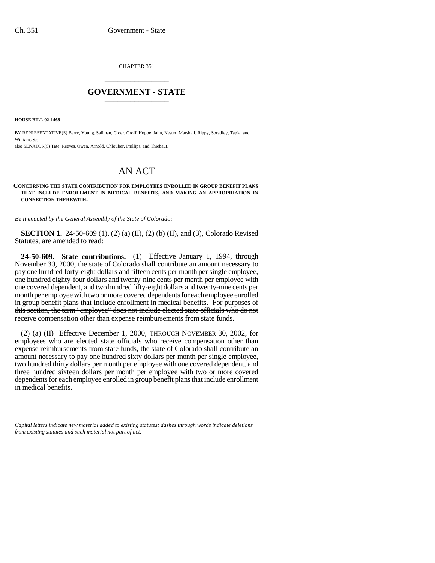CHAPTER 351 \_\_\_\_\_\_\_\_\_\_\_\_\_\_\_

## **GOVERNMENT - STATE** \_\_\_\_\_\_\_\_\_\_\_\_\_\_\_

**HOUSE BILL 02-1468**

BY REPRESENTATIVE(S) Berry, Young, Saliman, Cloer, Groff, Hoppe, Jahn, Kester, Marshall, Rippy, Spradley, Tapia, and Williams S.;

also SENATOR(S) Tate, Reeves, Owen, Arnold, Chlouber, Phillips, and Thiebaut.

## AN ACT

## **CONCERNING THE STATE CONTRIBUTION FOR EMPLOYEES ENROLLED IN GROUP BENEFIT PLANS THAT INCLUDE ENROLLMENT IN MEDICAL BENEFITS, AND MAKING AN APPROPRIATION IN CONNECTION THEREWITH.**

*Be it enacted by the General Assembly of the State of Colorado:*

**SECTION 1.** 24-50-609 (1), (2) (a) (II), (2) (b) (II), and (3), Colorado Revised Statutes, are amended to read:

**24-50-609. State contributions.** (1) Effective January 1, 1994, through November 30, 2000, the state of Colorado shall contribute an amount necessary to pay one hundred forty-eight dollars and fifteen cents per month per single employee, one hundred eighty-four dollars and twenty-nine cents per month per employee with one covered dependent, and two hundred fifty-eight dollars and twenty-nine cents per month per employee with two or more covered dependents for each employee enrolled in group benefit plans that include enrollment in medical benefits. For purposes of this section, the term "employee" does not include elected state officials who do not receive compensation other than expense reimbursements from state funds.

dependents for each employee enrolled in group benefit plans that include enrollment (2) (a) (II) Effective December 1, 2000, THROUGH NOVEMBER 30, 2002, for employees who are elected state officials who receive compensation other than expense reimbursements from state funds, the state of Colorado shall contribute an amount necessary to pay one hundred sixty dollars per month per single employee, two hundred thirty dollars per month per employee with one covered dependent, and three hundred sixteen dollars per month per employee with two or more covered in medical benefits.

*Capital letters indicate new material added to existing statutes; dashes through words indicate deletions from existing statutes and such material not part of act.*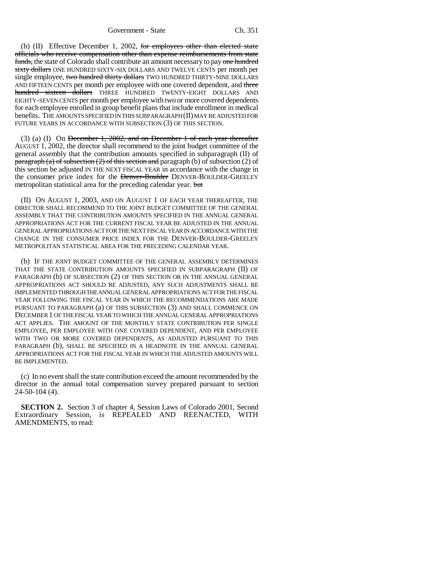(b) (II) Effective December 1, 2002, for employees other than elected state officials who receive compensation other than expense reimbursements from state funds, the state of Colorado shall contribute an amount necessary to pay one hundred sixty dollars ONE HUNDRED SIXTY-SIX DOLLARS AND TWELVE CENTS per month per single employee, two hundred thirty dollars TWO HUNDRED THIRTY-NINE DOLLARS AND FIFTEEN CENTS per month per employee with one covered dependent, and three hundred sixteen dollars THREE HUNDRED TWENTY-EIGHT DOLLARS AND EIGHTY-SEVEN CENTS per month per employee with two or more covered dependents for each employee enrolled in group benefit plans that include enrollment in medical benefits. THE AMOUNTS SPECIFIED IN THIS SUBPARAGRAPH (II) MAY BE ADJUSTED FOR FUTURE YEARS IN ACCORDANCE WITH SUBSECTION (3) OF THIS SECTION.

(3) (a) (I) On December 1, 2002, and on December 1 of each year thereafter AUGUST 1, 2002, the director shall recommend to the joint budget committee of the general assembly that the contribution amounts specified in subparagraph (II) of paragraph (a) of subsection  $(2)$  of this section and paragraph (b) of subsection  $(2)$  of this section be adjusted IN THE NEXT FISCAL YEAR in accordance with the change in the consumer price index for the Denver-Boulder DENVER-BOULDER-GREELEY metropolitan statistical area for the preceding calendar year. but

(II) ON AUGUST 1, 2003, AND ON AUGUST 1 OF EACH YEAR THEREAFTER, THE DIRECTOR SHALL RECOMMEND TO THE JOINT BUDGET COMMITTEE OF THE GENERAL ASSEMBLY THAT THE CONTRIBUTION AMOUNTS SPECIFIED IN THE ANNUAL GENERAL APPROPRIATIONS ACT FOR THE CURRENT FISCAL YEAR BE ADJUSTED IN THE ANNUAL GENERAL APPROPRIATIONS ACT FOR THE NEXT FISCAL YEAR IN ACCORDANCE WITH THE CHANGE IN THE CONSUMER PRICE INDEX FOR THE DENVER-BOULDER-GREELEY METROPOLITAN STATISTICAL AREA FOR THE PRECEDING CALENDAR YEAR.

(b) IF THE JOINT BUDGET COMMITTEE OF THE GENERAL ASSEMBLY DETERMINES THAT THE STATE CONTRIBUTION AMOUNTS SPECIFIED IN SUBPARAGRAPH (II) OF PARAGRAPH (b) OF SUBSECTION (2) OF THIS SECTION OR IN THE ANNUAL GENERAL APPROPRIATIONS ACT SHOULD BE ADJUSTED, ANY SUCH ADJUSTMENTS SHALL BE IMPLEMENTED THROUGH THE ANNUAL GENERAL APPROPRIATIONS ACT FOR THE FISCAL YEAR FOLLOWING THE FISCAL YEAR IN WHICH THE RECOMMENDATIONS ARE MADE PURSUANT TO PARAGRAPH (a) OF THIS SUBSECTION (3) AND SHALL COMMENCE ON DECEMBER 1 OF THE FISCAL YEAR TO WHICH THE ANNUAL GENERAL APPROPRIATIONS ACT APPLIES. THE AMOUNT OF THE MONTHLY STATE CONTRIBUTION PER SINGLE EMPLOYEE, PER EMPLOYEE WITH ONE COVERED DEPENDENT, AND PER EMPLOYEE WITH TWO OR MORE COVERED DEPENDENTS, AS ADJUSTED PURSUANT TO THIS PARAGRAPH (b), SHALL BE SPECIFIED IN A HEADNOTE IN THE ANNUAL GENERAL APPROPRIATIONS ACT FOR THE FISCAL YEAR IN WHICH THE ADJUSTED AMOUNTS WILL BE IMPLEMENTED.

(c) In no event shall the state contribution exceed the amount recommended by the director in the annual total compensation survey prepared pursuant to section 24-50-104 (4).

**SECTION 2.** Section 3 of chapter 4, Session Laws of Colorado 2001, Second Extraordinary Session, is REPEALED AND REENACTED, WITH AMENDMENTS, to read: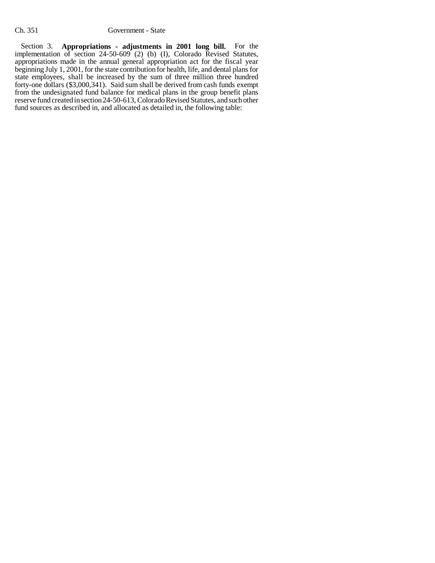Section 3. **Appropriations - adjustments in 2001 long bill.** For the implementation of section 24-50-609 (2) (b) (I), Colorado Revised Statutes, appropriations made in the annual general appropriation act for the fiscal year beginning July 1, 2001, for the state contribution for health, life, and dental plans for state employees, shall be increased by the sum of three million three hundred forty-one dollars (\$3,000,341). Said sum shall be derived from cash funds exempt from the undesignated fund balance for medical plans in the group benefit plans reserve fund created in section 24-50-613, Colorado Revised Statutes, and such other fund sources as described in, and allocated as detailed in, the following table: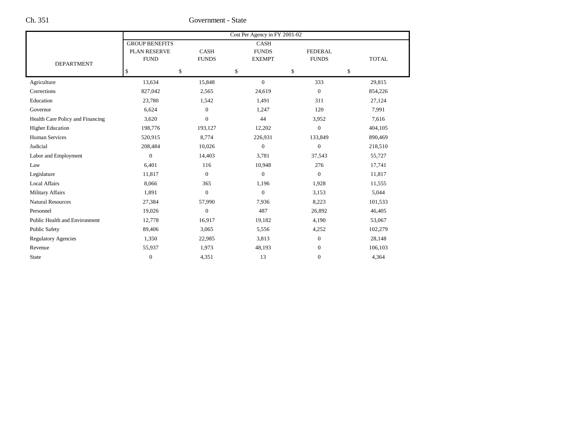Ch. 351 Government - State

|                                  | Cost Per Agency in FY 2001-02 |                |                  |                  |              |  |  |
|----------------------------------|-------------------------------|----------------|------------------|------------------|--------------|--|--|
|                                  | <b>GROUP BENEFITS</b>         |                | <b>CASH</b>      |                  |              |  |  |
|                                  | PLAN RESERVE                  | <b>CASH</b>    | <b>FUNDS</b>     | <b>FEDERAL</b>   |              |  |  |
| <b>DEPARTMENT</b>                | <b>FUND</b>                   | <b>FUNDS</b>   | <b>EXEMPT</b>    | <b>FUNDS</b>     | <b>TOTAL</b> |  |  |
|                                  | \$<br>\$                      |                | \$               | \$               | \$           |  |  |
| Agriculture                      | 13,634                        | 15,848         | $\overline{0}$   | 333              | 29,815       |  |  |
| Corrections                      | 827,042                       | 2,565          | 24,619           | $\boldsymbol{0}$ | 854,226      |  |  |
| Education                        | 23,780                        | 1,542          | 1,491            | 311              | 27,124       |  |  |
| Governor                         | 6,624                         | $\mathbf{0}$   | 1,247            | 120              | 7,991        |  |  |
| Health Care Policy and Financing | 3,620                         | $\overline{0}$ | 44               | 3,952            | 7,616        |  |  |
| <b>Higher Education</b>          | 198,776                       | 193,127        | 12,202           | $\boldsymbol{0}$ | 404,105      |  |  |
| Human Services                   | 520,915                       | 8,774          | 226,931          | 133,849          | 890,469      |  |  |
| Judicial                         | 208,484                       | 10,026         | $\boldsymbol{0}$ | $\boldsymbol{0}$ | 218,510      |  |  |
| Labor and Employment             | $\mathbf{0}$                  | 14,403         | 3,781            | 37,543           | 55,727       |  |  |
| Law                              | 6,401                         | 116            | 10,948           | 276              | 17,741       |  |  |
| Legislature                      | 11,817                        | $\Omega$       | $\mathbf{0}$     | $\mathbf{0}$     | 11,817       |  |  |
| <b>Local Affairs</b>             | 8,066                         | 365            | 1,196            | 1,928            | 11,555       |  |  |
| <b>Military Affairs</b>          | 1,891                         | $\overline{0}$ | $\mathbf{0}$     | 3,153            | 5,044        |  |  |
| <b>Natural Resources</b>         | 27,384                        | 57,990         | 7,936            | 8,223            | 101,533      |  |  |
| Personnel                        | 19,026                        | $\mathbf{0}$   | 487              | 26,892           | 46,405       |  |  |
| Public Health and Environment    | 12,778                        | 16,917         | 19,182           | 4,190            | 53,067       |  |  |
| <b>Public Safety</b>             | 89,406                        | 3,065          | 5,556            | 4,252            | 102,279      |  |  |
| <b>Regulatory Agencies</b>       | 1,350                         | 22,985         | 3,813            | $\mathbf{0}$     | 28,148       |  |  |
| Revenue                          | 55,937                        | 1,973          | 48,193           | $\boldsymbol{0}$ | 106,103      |  |  |
| <b>State</b>                     | $\mathbf{0}$                  | 4,351          | 13               | $\overline{0}$   | 4,364        |  |  |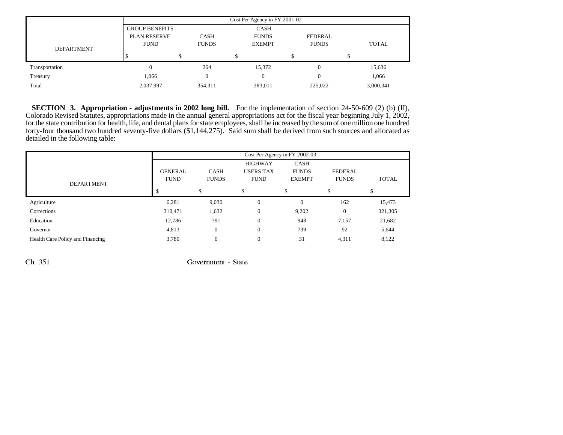|                   | Cost Per Agency in FY 2001-02 |              |               |              |              |  |  |
|-------------------|-------------------------------|--------------|---------------|--------------|--------------|--|--|
|                   | <b>GROUP BENEFITS</b>         |              | <b>CASH</b>   |              |              |  |  |
|                   | <b>PLAN RESERVE</b>           | <b>CASH</b>  | <b>FUNDS</b>  | FEDERAL      |              |  |  |
| <b>DEPARTMENT</b> | <b>FUND</b>                   | <b>FUNDS</b> | <b>EXEMPT</b> | <b>FUNDS</b> | <b>TOTAL</b> |  |  |
|                   |                               |              |               |              |              |  |  |
| Transportation    | 0                             | 264          | 15,372        | 0            | 15,636       |  |  |
| Treasury          | 1,066                         | $\Omega$     | 0             |              | 1,066        |  |  |
| Total             | 2,037,997                     | 354,311      | 383,011       | 225,022      | 3,000,341    |  |  |

**SECTION 3. Appropriation - adjustments in 2002 long bill.** For the implementation of section 24-50-609 (2) (b) (II), Colorado Revised Statutes, appropriations made in the annual general appropriations act for the fiscal year beginning July 1, 2002, for the state contribution for health, life, and dental plans for state employees, shall be increased by the sum of one million one hundred forty-four thousand two hundred seventy-five dollars (\$1,144,275). Said sum shall be derived from such sources and allocated as detailed in the following table:

|                                  | Cost Per Agency in FY 2002-03 |                |                  |                |                |              |  |
|----------------------------------|-------------------------------|----------------|------------------|----------------|----------------|--------------|--|
|                                  |                               |                | <b>HIGHWAY</b>   | CASH           |                |              |  |
|                                  | <b>GENERAL</b>                | <b>CASH</b>    | <b>USERS TAX</b> | <b>FUNDS</b>   | <b>FEDERAL</b> |              |  |
| <b>DEPARTMENT</b>                | <b>FUND</b>                   | <b>FUNDS</b>   | <b>FUND</b>      | <b>EXEMPT</b>  | <b>FUNDS</b>   | <b>TOTAL</b> |  |
|                                  |                               | \$             | Ъ                | \$             | \$.            |              |  |
| Agriculture                      | 6,281                         | 9,030          | $\mathbf{0}$     | $\overline{0}$ | 162            | 15,473       |  |
| Corrections                      | 310,471                       | 1,632          | $\mathbf{0}$     | 9,202          | $\overline{0}$ | 321,305      |  |
| Education                        | 12,786                        | 791            | $\mathbf{0}$     | 948            | 7,157          | 21,682       |  |
| Governor                         | 4,813                         | $\Omega$       | $\mathbf{0}$     | 739            | 92             | 5,644        |  |
| Health Care Policy and Financing | 3,780                         | $\overline{0}$ | $\mathbf{0}$     | 31             | 4,311          | 8,122        |  |

 $\chi$  Ch. 351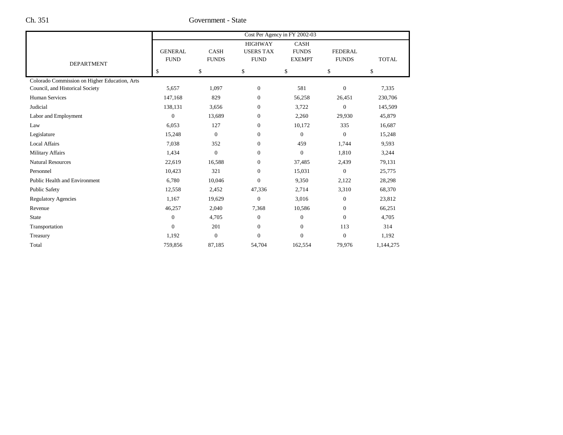Ch. 351 Government - State

|                                               |                               |                             |                                                   | Cost Per Agency in FY 2002-03                |                                |              |
|-----------------------------------------------|-------------------------------|-----------------------------|---------------------------------------------------|----------------------------------------------|--------------------------------|--------------|
| <b>DEPARTMENT</b>                             | <b>GENERAL</b><br><b>FUND</b> | <b>CASH</b><br><b>FUNDS</b> | <b>HIGHWAY</b><br><b>USERS TAX</b><br><b>FUND</b> | <b>CASH</b><br><b>FUNDS</b><br><b>EXEMPT</b> | <b>FEDERAL</b><br><b>FUNDS</b> | <b>TOTAL</b> |
|                                               | \$                            | \$                          | \$                                                | \$                                           | \$                             | \$           |
| Colorado Commission on Higher Education, Arts |                               |                             |                                                   |                                              |                                |              |
| Council, and Historical Society               | 5,657                         | 1,097                       | $\mathbf{0}$                                      | 581                                          | $\boldsymbol{0}$               | 7,335        |
| <b>Human Services</b>                         | 147,168                       | 829                         | $\mathbf{0}$                                      | 56,258                                       | 26,451                         | 230,706      |
| Judicial                                      | 138,131                       | 3,656                       | $\mathbf{0}$                                      | 3,722                                        | $\boldsymbol{0}$               | 145,509      |
| Labor and Employment                          | $\mathbf{0}$                  | 13,689                      | $\mathbf{0}$                                      | 2,260                                        | 29,930                         | 45,879       |
| Law                                           | 6,053                         | 127                         | $\mathbf{0}$                                      | 10,172                                       | 335                            | 16,687       |
| Legislature                                   | 15,248                        | $\overline{0}$              | $\mathbf{0}$                                      | $\mathbf{0}$                                 | $\mathbf{0}$                   | 15,248       |
| <b>Local Affairs</b>                          | 7,038                         | 352                         | $\mathbf{0}$                                      | 459                                          | 1,744                          | 9,593        |
| <b>Military Affairs</b>                       | 1,434                         | $\boldsymbol{0}$            | $\mathbf{0}$                                      | $\boldsymbol{0}$                             | 1,810                          | 3,244        |
| <b>Natural Resources</b>                      | 22,619                        | 16,588                      | $\mathbf{0}$                                      | 37,485                                       | 2,439                          | 79,131       |
| Personnel                                     | 10,423                        | 321                         | $\mathbf{0}$                                      | 15,031                                       | $\theta$                       | 25,775       |
| <b>Public Health and Environment</b>          | 6,780                         | 10,046                      | $\Omega$                                          | 9,350                                        | 2,122                          | 28,298       |
| <b>Public Safety</b>                          | 12,558                        | 2,452                       | 47,336                                            | 2,714                                        | 3,310                          | 68,370       |
| <b>Regulatory Agencies</b>                    | 1,167                         | 19,629                      | $\mathbf{0}$                                      | 3,016                                        | $\mathbf{0}$                   | 23,812       |
| Revenue                                       | 46,257                        | 2,040                       | 7,368                                             | 10,586                                       | $\mathbf{0}$                   | 66,251       |
| <b>State</b>                                  | $\mathbf{0}$                  | 4,705                       | $\mathbf{0}$                                      | $\boldsymbol{0}$                             | $\mathbf{0}$                   | 4,705        |
| Transportation                                | $\mathbf{0}$                  | 201                         | $\Omega$                                          | $\boldsymbol{0}$                             | 113                            | 314          |
| Treasury                                      | 1,192                         | $\boldsymbol{0}$            | $\boldsymbol{0}$                                  | $\boldsymbol{0}$                             | $\boldsymbol{0}$               | 1,192        |
| Total                                         | 759,856                       | 87,185                      | 54,704                                            | 162,554                                      | 79,976                         | 1,144,275    |